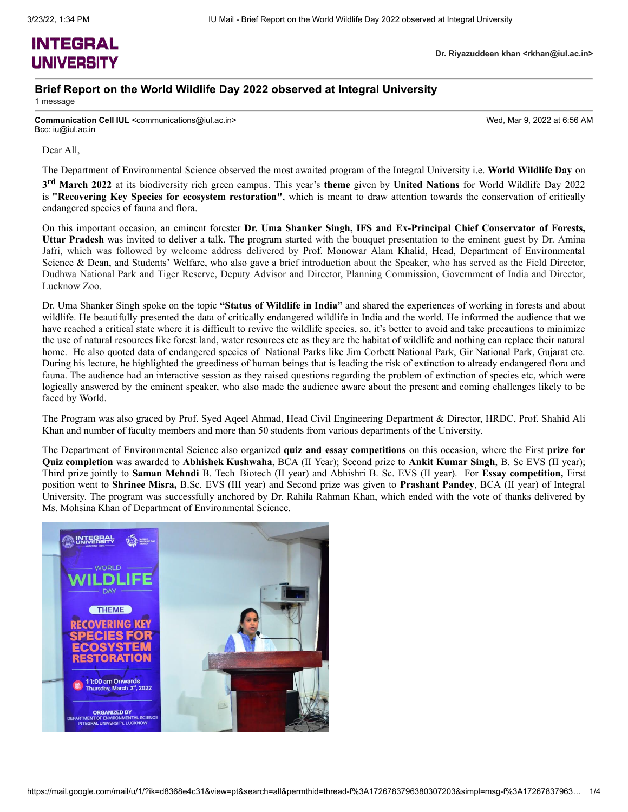## **INTEGRAL UNIVERSITY**

**Dr. Riyazuddeen khan <rkhan@iul.ac.in>**

## **Brief Report on the World Wildlife Day 2022 observed at Integral University**

1 message

**Communication Cell IUL** <communications@iul.ac.in> Wed, Mar 9, 2022 at 6:56 AM Bcc: iu@iul.ac.in

Dear All,

The Department of Environmental Science observed the most awaited program of the Integral University i.e. **World Wildlife Day** on **3 rd March 2022** at its biodiversity rich green campus. This year's **theme** given by **United Nations** for World Wildlife Day 2022 is **"Recovering Key Species for ecosystem restoration"**, which is meant to draw attention towards the conservation of critically endangered species of fauna and flora.

On this important occasion, an eminent forester **Dr. Uma Shanker Singh, IFS and Ex-Principal Chief Conservator of Forests, Uttar Pradesh** was invited to deliver a talk. The program started with the bouquet presentation to the eminent guest by Dr. Amina Jafri, which was followed by welcome address delivered by Prof. Monowar Alam Khalid, Head, Department of Environmental Science & Dean, and Students' Welfare, who also gave a brief introduction about the Speaker, who has served as the Field Director, Dudhwa National Park and Tiger Reserve, Deputy Advisor and Director, Planning Commission, Government of India and Director, Lucknow Zoo.

Dr. Uma Shanker Singh spoke on the topic **"Status of Wildlife in India"** and shared the experiences of working in forests and about wildlife. He beautifully presented the data of critically endangered wildlife in India and the world. He informed the audience that we have reached a critical state where it is difficult to revive the wildlife species, so, it's better to avoid and take precautions to minimize the use of natural resources like forest land, water resources etc as they are the habitat of wildlife and nothing can replace their natural home. He also quoted data of endangered species of National Parks like Jim Corbett National Park, Gir National Park, Gujarat etc. During his lecture, he highlighted the greediness of human beings that is leading the risk of extinction to already endangered flora and fauna. The audience had an interactive session as they raised questions regarding the problem of extinction of species etc, which were logically answered by the eminent speaker, who also made the audience aware about the present and coming challenges likely to be faced by World.

The Program was also graced by Prof. Syed Aqeel Ahmad, Head Civil Engineering Department & Director, HRDC, Prof. Shahid Ali Khan and number of faculty members and more than 50 students from various departments of the University.

The Department of Environmental Science also organized **quiz and essay competitions** on this occasion, where the First **prize for Quiz completion** was awarded to **Abhishek Kushwaha**, BCA (II Year); Second prize to **Ankit Kumar Singh**, B. Sc EVS (II year); Third prize jointly to **Saman Mehndi** B. Tech–Biotech (II year) and Abhishri B. Sc. EVS (II year). For **Essay competition,** First position went to **Shrinee Misra,** B.Sc. EVS (III year) and Second prize was given to **Prashant Pandey**, BCA (II year) of Integral University. The program was successfully anchored by Dr. Rahila Rahman Khan, which ended with the vote of thanks delivered by Ms. Mohsina Khan of Department of Environmental Science.

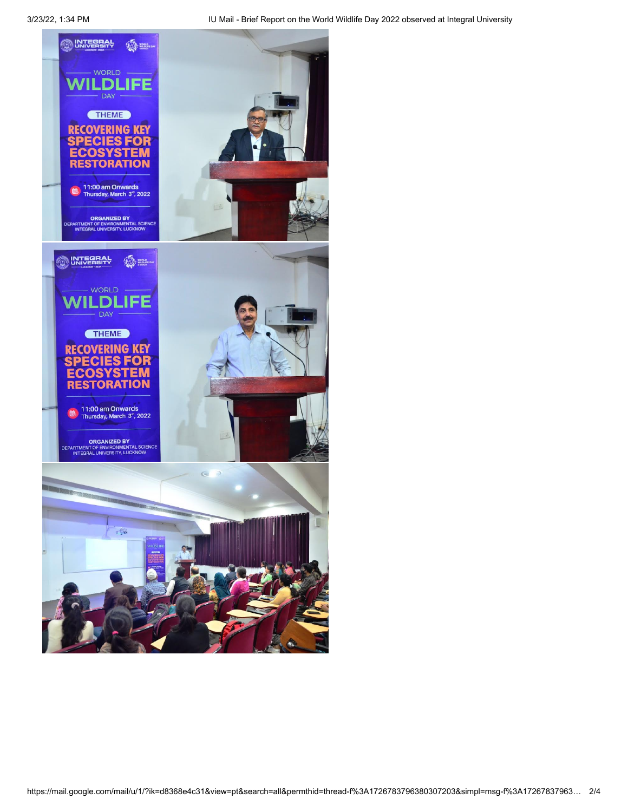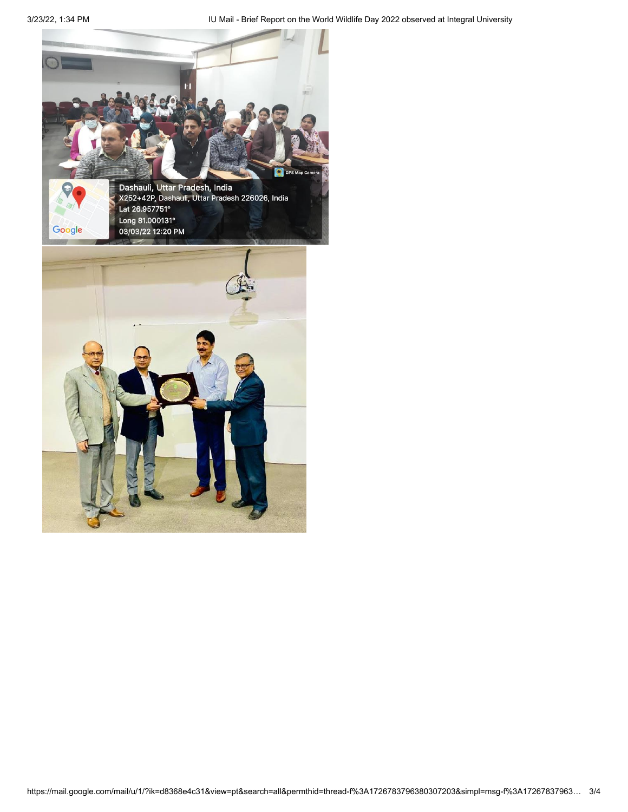